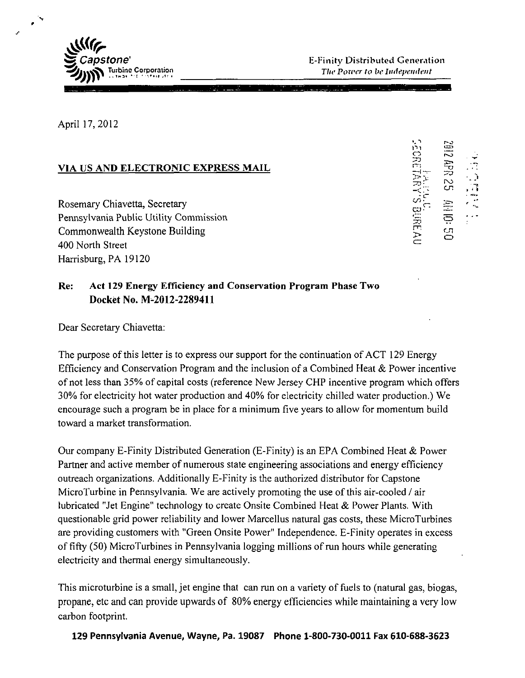

April 17,2012

## VIA US AND ELECTRONIC EXPRESS MAIL

**Rosemary Chiavetta, Secretary** Pennsylvania Public Utility Commission **Commonwealth Keystone Building** 400 North Street ^ Harrisburg, PA 19120

*tn <—>* 

## **Re: Act 129 Energy Efficiency and Conservation Program Phase Two Docket No. M-2012-2289411**

Dear Secretary Chiavetta:

The purpose of this letter is to express our support for the continuation of ACT 129 Energy Efficiency and Conservation Program and the inclusion of a Combined Heat & Power incentive of not less than 35% of capital costs (reference New Jersey CHP incentive program which offers 30% for electricity hot water production and 40% for electricity chilled water production.) We encourage such a program be in place for a minimum five years to allow for momentum build toward a market transformation.

Our company E-Finity Distributed Generation (E-Finity) is an EPA Combined Heat & Power Partner and active member of numerous state engineering associations and energy efficiency outreach organizations. Additionally E-Finity is the authorized distributor for Capstone MicroTurbine in Pennsylvania. We are actively promoting the use of this air-cooled / air lubricated "Jet Engine" technology to create Onsite Combined Heat & Power Plants. With questionable grid power reliability and lower Marcellus natural gas costs, these MicroTurbines are providing customers with "Green Onsite Power" Independence. E-Finity operates in excess of fifty (50) MicroTurbines in Pennsylvania logging millions of run hours while generating electricity and thermal energy simultaneously.

This microturbine is a small, jet engine that can run on a variety of fuels to (natural gas, biogas, propane, etc and can provide upwards of 80% energy efficiencies while maintaining a very low carbon footprint.

**129 Pennsylvania Avenue, Wayne, Pa. 19087 Phone 1-800-730-0011 Fax 610-688-3623**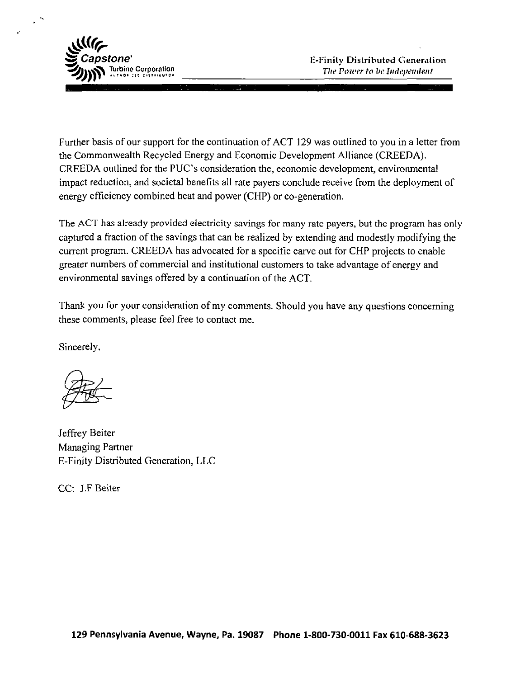

Further basis of our support for the continuation of ACT 129 was outlined to you in a letter from the Commonwealth Recycled Energy and Economic Development Alliance (CREEDA). CREEDA outlined for the PUC's consideration the, economic development, environmental impact reduction, and societal benefits all rate payers conclude receive from the deployment of energy efficiency combined heat and power (CHP) or co-generation.

The ACT has already provided electricity savings for many rate payers, but the program has only captured a fraction of the savings that can be realized by extending and modestly modifying the current program. CREEDA has advocated for a specific carve out for CHP projects to enable greater numbers of commercial and institutional customers to take advantage of energy and environmental savings offered by a continuation of the ACT.

Thank you for your consideration of my comments. Should you have any questions concerning these comments, please feel free to contact me.

Sincerely,

Jeffrey Beiter Managing Partner E-Finity Distributed Generation, LLC

CC: J.F Beiter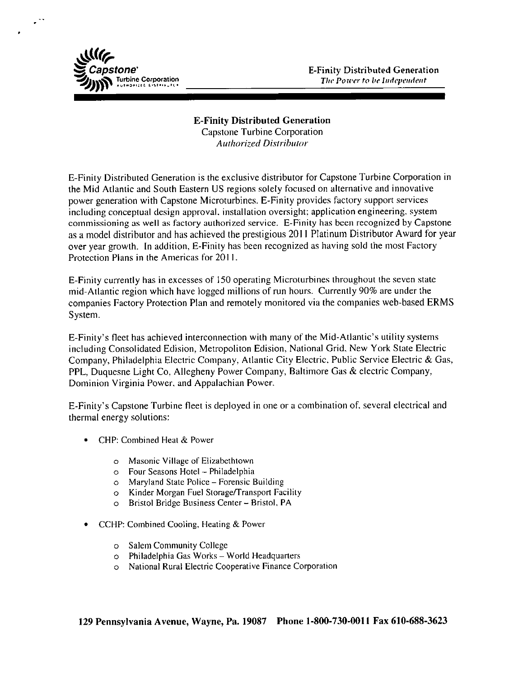

## **E-Finity Distributed Generation**

*Capstone Turbine Corporation Authorized Distributor* 

E-Finity Distributed Generation is the exclusive distributor for Capstone Turbine Corporation in the Mid Atlantic and South Eastern US regions solely focused on alternative and innovative power generation with Capstone Microturbines. E-Finity provides factory support services including conceptual design approval, installation oversight; application engineering, system commissioning as well as factory authorized service. E-Finity has been recognized by Capstone as a model distributor and has achieved the prestigious 2011 Platinum Distributor Award for year over year growth. In addition, E-Finity has been recognized as having sold the most Factory Protection Plans in the Americas for 2011.

E-Finity currently has in excesses of 150 operating Microturbines throughout the seven state mid-Atlantic region which have logged millions of run hours. Currently 90% are under the companies Factory Protection Plan and remotely monitored via the companies web-based ERMS System.

E-Finity's fleet has achieved interconnection with many of the Mid-Atlantic's utility systems including Consolidated Edision, Metropoliton Edision, National Grid, New York State Electric Company, Philadelphia Electric Company, Atlantic City Electric, Public Service Electric & Gas, PPL, Duquesne Light Co, Allegheny Power Company, Baltimore Gas & electric Company, Dominion Virginia Power, and Appalachian Power.

E-Finity's Capstone Turbine fleet is deployed in one or a combination of. several electrical and thermal energy solutions:

- CHP: Combined Heal & Power
	- o Masonic Village of Elizabethtown
	- o Four Seasons Hotel Philadelphia
	- o Maryland State Police Forensic Building
	- o Kinder Morgan Fuel Storage/Transport Facility
	- o Bristol Bridge Business Center Bristol, PA
- CCHP: Combined Cooling, Heating & Power
	- o Salem Community College
	- o Philadelphia Gas Works World Headquarters
	- o National Rural Electric Cooperative Finance Corporation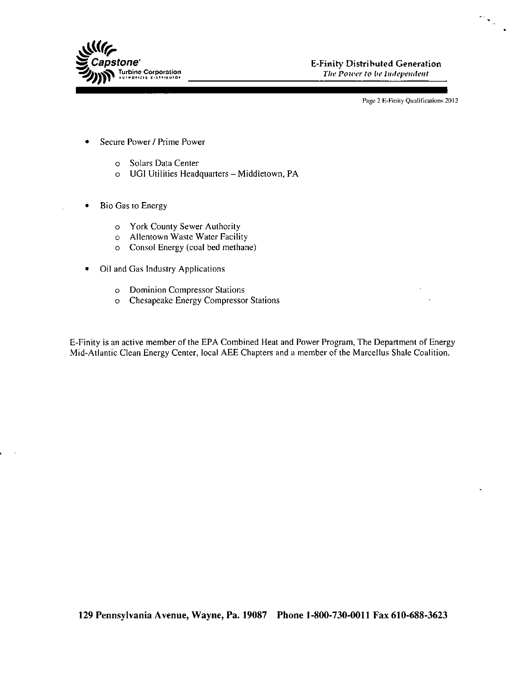

**pstone'** E-Finity Distributed Generation **Components** E-Finity Distributed Generation **Components** 

Page 2 E-Finity Qualifications 2012

 $\mathcal{D}_{\mathcal{S}_{\mathcal{A}}}$ 

- Secure Power / Prime Power
	- o Solars Data Center
	- o UGI Utilities Headquarters Middletown, PA
- Bio Gas to Energy  $\bullet$ 
	- o York County Sewer Authority
	- o Allentown Waste Water Facility
	- o Consol Energy (coal bed methane)
- Oil and Gas Industry Applications
	- o Dominion Compressor Stations
	- o Chesapeake Energy Compressor Stations

E-Finity is an active member of the EPA Combined Heat and Power Program, The Department of Energy Mid-Atlantic Clean Energy Center, local AEE Chapters and a member of the Marcellus Shale Coalition.